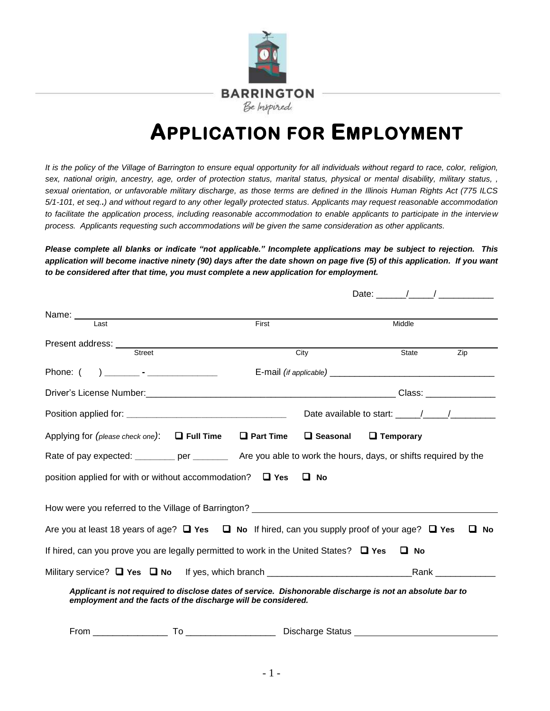

# **APPLICATION FOR EMPLOYMENT**

*It is the policy of the Village of Barrington to ensure equal opportunity for all individuals without regard to race, color, religion, sex, national origin, ancestry, age, order of protection status, marital status, physical or mental disability, military status, , sexual orientation, or unfavorable military discharge, as those terms are defined in the Illinois Human Rights Act (775 ILCS 5/1-101, et seq..) and without regard to any other legally protected status. Applicants may request reasonable accommodation to facilitate the application process, including reasonable accommodation to enable applicants to participate in the interview process. Applicants requesting such accommodations will be given the same consideration as other applicants.* 

*Please complete all blanks or indicate "not applicable." Incomplete applications may be subject to rejection. This application will become inactive ninety (90) days after the date shown on page five (5) of this application. If you want to be considered after that time, you must complete a new application for employment.* 

|                                                                                                               |                                                                                                                                                                           |                   | Date: $\frac{1}{\sqrt{1-\frac{1}{2}}}\frac{1}{\sqrt{1-\frac{1}{2}}}\frac{1}{\sqrt{1-\frac{1}{2}}}\frac{1}{\sqrt{1-\frac{1}{2}}}\frac{1}{\sqrt{1-\frac{1}{2}}}\frac{1}{\sqrt{1-\frac{1}{2}}}\frac{1}{\sqrt{1-\frac{1}{2}}}\frac{1}{\sqrt{1-\frac{1}{2}}}\frac{1}{\sqrt{1-\frac{1}{2}}}\frac{1}{\sqrt{1-\frac{1}{2}}}\frac{1}{\sqrt{1-\frac{1}{2}}}\frac{1}{\sqrt{1-\frac{1}{2}}}\frac{1}{\sqrt{1-\frac{1}{2}}}\frac{1}{\$ |                  |
|---------------------------------------------------------------------------------------------------------------|---------------------------------------------------------------------------------------------------------------------------------------------------------------------------|-------------------|--------------------------------------------------------------------------------------------------------------------------------------------------------------------------------------------------------------------------------------------------------------------------------------------------------------------------------------------------------------------------------------------------------------------------|------------------|
|                                                                                                               |                                                                                                                                                                           |                   |                                                                                                                                                                                                                                                                                                                                                                                                                          |                  |
| $l$ ast                                                                                                       | First                                                                                                                                                                     |                   | Middle                                                                                                                                                                                                                                                                                                                                                                                                                   |                  |
| Present address: Street                                                                                       |                                                                                                                                                                           |                   |                                                                                                                                                                                                                                                                                                                                                                                                                          |                  |
|                                                                                                               |                                                                                                                                                                           | City              | State                                                                                                                                                                                                                                                                                                                                                                                                                    | $\overline{Zip}$ |
| Phone: (                                                                                                      |                                                                                                                                                                           |                   |                                                                                                                                                                                                                                                                                                                                                                                                                          |                  |
|                                                                                                               |                                                                                                                                                                           |                   |                                                                                                                                                                                                                                                                                                                                                                                                                          |                  |
|                                                                                                               |                                                                                                                                                                           |                   |                                                                                                                                                                                                                                                                                                                                                                                                                          |                  |
| Applying for (please check one): $\Box$ Full Time                                                             | $\Box$ Part Time                                                                                                                                                          | <b>Q</b> Seasonal | $\Box$ Temporary                                                                                                                                                                                                                                                                                                                                                                                                         |                  |
|                                                                                                               | Rate of pay expected: ________ per ________ Are you able to work the hours, days, or shifts required by the                                                               |                   |                                                                                                                                                                                                                                                                                                                                                                                                                          |                  |
|                                                                                                               | position applied for with or without accommodation? $\Box$ Yes                                                                                                            | $\Box$ No         |                                                                                                                                                                                                                                                                                                                                                                                                                          |                  |
| How were you referred to the Village of Barrington? ____________________________                              |                                                                                                                                                                           |                   |                                                                                                                                                                                                                                                                                                                                                                                                                          |                  |
| Are you at least 18 years of age? $\Box$ Yes $\Box$ No If hired, can you supply proof of your age? $\Box$ Yes |                                                                                                                                                                           |                   |                                                                                                                                                                                                                                                                                                                                                                                                                          | ப<br>No          |
| If hired, can you prove you are legally permitted to work in the United States? $\Box$ Yes                    |                                                                                                                                                                           |                   | $\Box$ No                                                                                                                                                                                                                                                                                                                                                                                                                |                  |
|                                                                                                               |                                                                                                                                                                           |                   |                                                                                                                                                                                                                                                                                                                                                                                                                          |                  |
|                                                                                                               | Applicant is not required to disclose dates of service. Dishonorable discharge is not an absolute bar to<br>employment and the facts of the discharge will be considered. |                   |                                                                                                                                                                                                                                                                                                                                                                                                                          |                  |
|                                                                                                               |                                                                                                                                                                           |                   |                                                                                                                                                                                                                                                                                                                                                                                                                          |                  |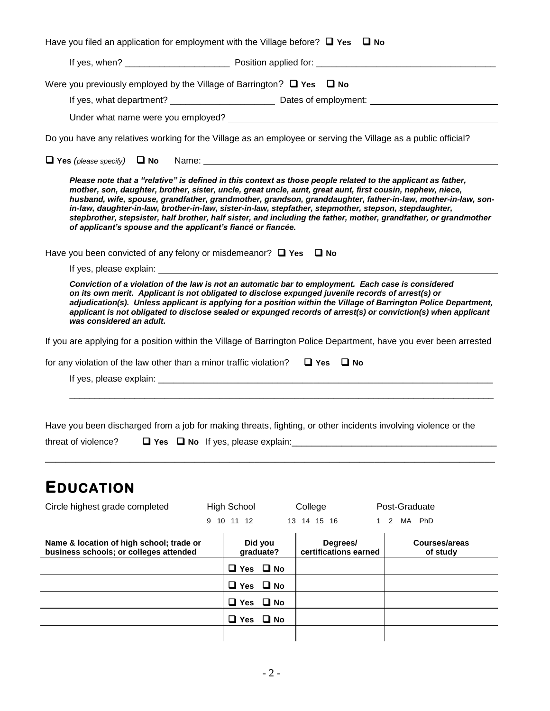| Have you filed an application for employment with the Village before? $\Box$ Yes $\Box$ No                                                                                                                                                                                                                                                                                                                                                                                                                                                                                                                                                |                      |                                   |                                  |  |  |
|-------------------------------------------------------------------------------------------------------------------------------------------------------------------------------------------------------------------------------------------------------------------------------------------------------------------------------------------------------------------------------------------------------------------------------------------------------------------------------------------------------------------------------------------------------------------------------------------------------------------------------------------|----------------------|-----------------------------------|----------------------------------|--|--|
|                                                                                                                                                                                                                                                                                                                                                                                                                                                                                                                                                                                                                                           |                      |                                   |                                  |  |  |
| Were you previously employed by the Village of Barrington? $\Box$ Yes $\Box$ No                                                                                                                                                                                                                                                                                                                                                                                                                                                                                                                                                           |                      |                                   |                                  |  |  |
| Do you have any relatives working for the Village as an employee or serving the Village as a public official?                                                                                                                                                                                                                                                                                                                                                                                                                                                                                                                             |                      |                                   |                                  |  |  |
|                                                                                                                                                                                                                                                                                                                                                                                                                                                                                                                                                                                                                                           |                      |                                   |                                  |  |  |
| Please note that a "relative" is defined in this context as those people related to the applicant as father,<br>mother, son, daughter, brother, sister, uncle, great uncle, aunt, great aunt, first cousin, nephew, niece,<br>husband, wife, spouse, grandfather, grandmother, grandson, granddaughter, father-in-law, mother-in-law, son-<br>in-law, daughter-in-law, brother-in-law, sister-in-law, stepfather, stepmother, stepson, stepdaughter,<br>stepbrother, stepsister, half brother, half sister, and including the father, mother, grandfather, or grandmother<br>of applicant's spouse and the applicant's fiancé or fiancée. |                      |                                   |                                  |  |  |
| Have you been convicted of any felony or misdemeanor? $\Box$ Yes $\Box$ No                                                                                                                                                                                                                                                                                                                                                                                                                                                                                                                                                                |                      |                                   |                                  |  |  |
|                                                                                                                                                                                                                                                                                                                                                                                                                                                                                                                                                                                                                                           |                      |                                   |                                  |  |  |
| Conviction of a violation of the law is not an automatic bar to employment. Each case is considered<br>on its own merit. Applicant is not obligated to disclose expunged juvenile records of arrest(s) or<br>adjudication(s). Unless applicant is applying for a position within the Village of Barrington Police Department,<br>applicant is not obligated to disclose sealed or expunged records of arrest(s) or conviction(s) when applicant<br>was considered an adult.                                                                                                                                                               |                      |                                   |                                  |  |  |
| If you are applying for a position within the Village of Barrington Police Department, have you ever been arrested                                                                                                                                                                                                                                                                                                                                                                                                                                                                                                                        |                      |                                   |                                  |  |  |
| for any violation of the law other than a minor traffic violation?                                                                                                                                                                                                                                                                                                                                                                                                                                                                                                                                                                        |                      | $\Box$ Yes $\Box$ No              |                                  |  |  |
|                                                                                                                                                                                                                                                                                                                                                                                                                                                                                                                                                                                                                                           |                      |                                   |                                  |  |  |
| Have you been discharged from a job for making threats, fighting, or other incidents involving violence or the<br>threat of violence?<br>$\Box$ Yes $\Box$ No If yes, please explain:                                                                                                                                                                                                                                                                                                                                                                                                                                                     |                      |                                   |                                  |  |  |
| <b>EDUCATION</b>                                                                                                                                                                                                                                                                                                                                                                                                                                                                                                                                                                                                                          |                      |                                   |                                  |  |  |
| Circle highest grade completed                                                                                                                                                                                                                                                                                                                                                                                                                                                                                                                                                                                                            | <b>High School</b>   | College                           | Post-Graduate                    |  |  |
|                                                                                                                                                                                                                                                                                                                                                                                                                                                                                                                                                                                                                                           | 9 10 11 12           | 13 14 15 16<br>$\mathbf{1}$       | 2 MA PhD                         |  |  |
| Name & location of high school; trade or<br>business schools; or colleges attended                                                                                                                                                                                                                                                                                                                                                                                                                                                                                                                                                        | Did you<br>graduate? | Degrees/<br>certifications earned | <b>Courses/areas</b><br>of study |  |  |

| business schools; or colleges attended | --- --<br>graduate?  | --------<br>certifications earned | of study |
|----------------------------------------|----------------------|-----------------------------------|----------|
|                                        | $\Box$ Yes $\Box$ No |                                   |          |
|                                        | $\Box$ Yes $\Box$ No |                                   |          |
|                                        | $\Box$ Yes $\Box$ No |                                   |          |
|                                        | $\Box$ Yes $\Box$ No |                                   |          |
|                                        |                      |                                   |          |
|                                        |                      |                                   |          |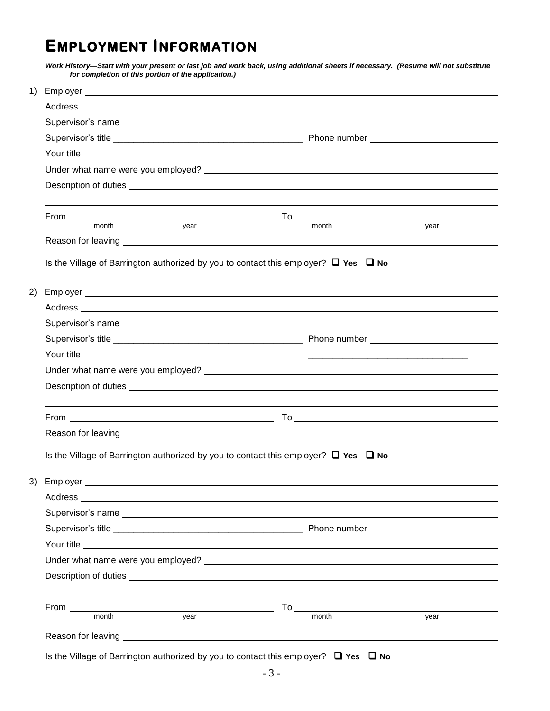## **EMPLOYMENT INFORMATION**

*Work History—Start with your present or last job and work back, using additional sheets if necessary. (Resume will not substitute for completion of this portion of the application.)* 

| 1) |                                                                                                                                                                                                                                      |                                                                                                       |      |  |
|----|--------------------------------------------------------------------------------------------------------------------------------------------------------------------------------------------------------------------------------------|-------------------------------------------------------------------------------------------------------|------|--|
|    |                                                                                                                                                                                                                                      |                                                                                                       |      |  |
|    | Supervisor's name experience and the state of the state of the state of the state of the state of the state of                                                                                                                       |                                                                                                       |      |  |
|    |                                                                                                                                                                                                                                      |                                                                                                       |      |  |
|    |                                                                                                                                                                                                                                      |                                                                                                       |      |  |
|    |                                                                                                                                                                                                                                      |                                                                                                       |      |  |
|    |                                                                                                                                                                                                                                      |                                                                                                       |      |  |
|    |                                                                                                                                                                                                                                      |                                                                                                       |      |  |
|    |                                                                                                                                                                                                                                      |                                                                                                       |      |  |
|    |                                                                                                                                                                                                                                      |                                                                                                       |      |  |
|    |                                                                                                                                                                                                                                      |                                                                                                       |      |  |
|    | Is the Village of Barrington authorized by you to contact this employer? $\Box$ Yes $\Box$ No                                                                                                                                        |                                                                                                       |      |  |
|    |                                                                                                                                                                                                                                      |                                                                                                       |      |  |
| 2) |                                                                                                                                                                                                                                      |                                                                                                       |      |  |
|    |                                                                                                                                                                                                                                      |                                                                                                       |      |  |
|    | Supervisor's name experience and the set of the set of the set of the set of the set of the set of the set of the set of the set of the set of the set of the set of the set of the set of the set of the set of the set of th       |                                                                                                       |      |  |
|    |                                                                                                                                                                                                                                      |                                                                                                       |      |  |
|    |                                                                                                                                                                                                                                      |                                                                                                       |      |  |
|    |                                                                                                                                                                                                                                      |                                                                                                       |      |  |
|    |                                                                                                                                                                                                                                      |                                                                                                       |      |  |
|    |                                                                                                                                                                                                                                      |                                                                                                       |      |  |
|    |                                                                                                                                                                                                                                      |                                                                                                       |      |  |
|    |                                                                                                                                                                                                                                      |                                                                                                       |      |  |
|    |                                                                                                                                                                                                                                      |                                                                                                       |      |  |
|    | Is the Village of Barrington authorized by you to contact this employer? $\Box$ Yes $\Box$ No                                                                                                                                        |                                                                                                       |      |  |
|    | 3) Employer <u>example and the contract of the contract of the contract of the contract of the contract of the contract of the contract of the contract of the contract of the contract of the contract of the contract of the c</u> |                                                                                                       |      |  |
|    |                                                                                                                                                                                                                                      |                                                                                                       |      |  |
|    | Supervisor's name experience of the state of the state of the state of the state of the state of the state of the state of the state of the state of the state of the state of the state of the state of the state of the stat       |                                                                                                       |      |  |
|    |                                                                                                                                                                                                                                      |                                                                                                       |      |  |
|    |                                                                                                                                                                                                                                      |                                                                                                       |      |  |
|    |                                                                                                                                                                                                                                      |                                                                                                       |      |  |
|    |                                                                                                                                                                                                                                      |                                                                                                       |      |  |
|    |                                                                                                                                                                                                                                      |                                                                                                       |      |  |
|    | <b>From Contract Contract Contract Contract Contract Contract Contract Contract Contract Contract Contract Contract Contract Contract Contract Contract Contract Contract Contract Contract Contract Contract Contract Contrac</b>   |                                                                                                       |      |  |
|    | vear<br>month                                                                                                                                                                                                                        | month                                                                                                 | year |  |
|    | Reason for leaving the state of the state of the state of the state of the state of the state of the state of the state of the state of the state of the state of the state of the state of the state of the state of the stat       |                                                                                                       |      |  |
|    | $\sim$ 4k $\sim$ 3.700 $\sim$ $\sim$                                                                                                                                                                                                 | of Domination put boding it because to position this produce $\Omega$ $\mathbb{R}$ M. $\mathbb{R}$ M. |      |  |
|    |                                                                                                                                                                                                                                      |                                                                                                       |      |  |

**Is the Village of Barrington authorized by you to contact this employer? □ Yes □ No**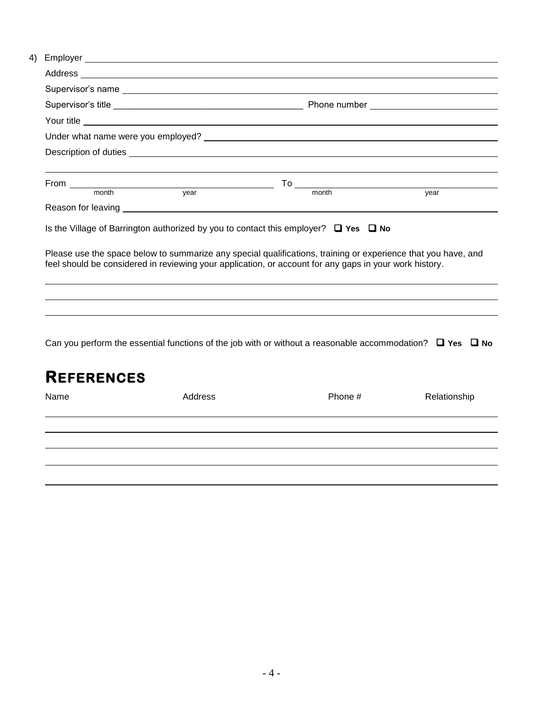|  | Your title |  |                                                                                                                                                                                                                                                                                                                          |      |  |  |
|--|------------|--|--------------------------------------------------------------------------------------------------------------------------------------------------------------------------------------------------------------------------------------------------------------------------------------------------------------------------|------|--|--|
|  |            |  |                                                                                                                                                                                                                                                                                                                          |      |  |  |
|  |            |  |                                                                                                                                                                                                                                                                                                                          |      |  |  |
|  |            |  |                                                                                                                                                                                                                                                                                                                          |      |  |  |
|  |            |  |                                                                                                                                                                                                                                                                                                                          |      |  |  |
|  |            |  |                                                                                                                                                                                                                                                                                                                          | vear |  |  |
|  |            |  |                                                                                                                                                                                                                                                                                                                          |      |  |  |
|  |            |  | Is the Village of Barrington authorized by you to contact this employer? $\Box$ Yes $\Box$ No<br>Please use the space below to summarize any special qualifications, training or experience that you have, and<br>feel should be considered in reviewing your application, or account for any gaps in your work history. |      |  |  |
|  |            |  |                                                                                                                                                                                                                                                                                                                          |      |  |  |
|  |            |  |                                                                                                                                                                                                                                                                                                                          |      |  |  |
|  |            |  |                                                                                                                                                                                                                                                                                                                          |      |  |  |
|  |            |  |                                                                                                                                                                                                                                                                                                                          |      |  |  |

Can you perform the essential functions of the job with or without a reasonable accommodation? □ Yes □ No

| <b>REFERENCES</b> |         |         |              |  |  |  |
|-------------------|---------|---------|--------------|--|--|--|
| Name              | Address | Phone # | Relationship |  |  |  |
|                   |         |         |              |  |  |  |
|                   |         |         |              |  |  |  |
|                   |         |         |              |  |  |  |
|                   |         |         |              |  |  |  |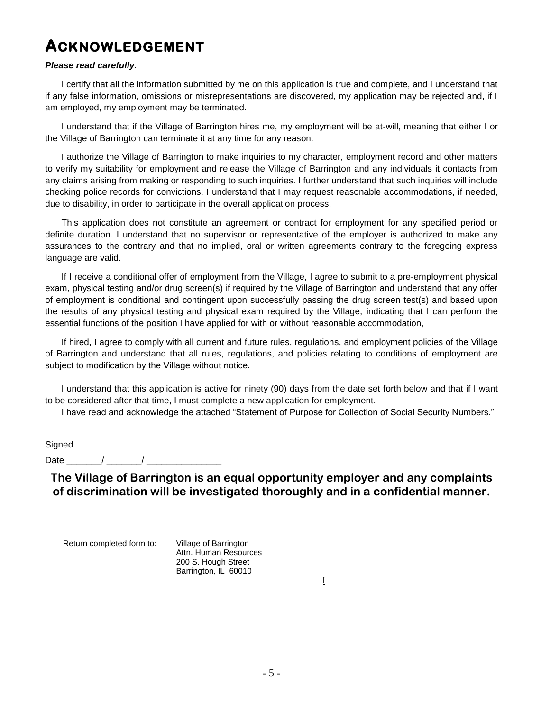## **ACKNOWLEDGEMENT**

#### *Please read carefully.*

I certify that all the information submitted by me on this application is true and complete, and I understand that if any false information, omissions or misrepresentations are discovered, my application may be rejected and, if I am employed, my employment may be terminated.

I understand that if the Village of Barrington hires me, my employment will be at-will, meaning that either I or the Village of Barrington can terminate it at any time for any reason.

I authorize the Village of Barrington to make inquiries to my character, employment record and other matters to verify my suitability for employment and release the Village of Barrington and any individuals it contacts from any claims arising from making or responding to such inquiries. I further understand that such inquiries will include checking police records for convictions. I understand that I may request reasonable accommodations, if needed, due to disability, in order to participate in the overall application process.

This application does not constitute an agreement or contract for employment for any specified period or definite duration. I understand that no supervisor or representative of the employer is authorized to make any assurances to the contrary and that no implied, oral or written agreements contrary to the foregoing express language are valid.

If I receive a conditional offer of employment from the Village, I agree to submit to a pre-employment physical exam, physical testing and/or drug screen(s) if required by the Village of Barrington and understand that any offer of employment is conditional and contingent upon successfully passing the drug screen test(s) and based upon the results of any physical testing and physical exam required by the Village, indicating that I can perform the essential functions of the position I have applied for with or without reasonable accommodation,

If hired, I agree to comply with all current and future rules, regulations, and employment policies of the Village of Barrington and understand that all rules, regulations, and policies relating to conditions of employment are subject to modification by the Village without notice.

I understand that this application is active for ninety (90) days from the date set forth below and that if I want to be considered after that time, I must complete a new application for employment.

I have read and acknowledge the attached "Statement of Purpose for Collection of Social Security Numbers."

### Signed **Signed** Date **\_\_\_\_\_\_\_**/ **\_\_\_\_\_\_\_**/ **\_\_\_\_\_\_\_\_\_\_\_\_\_\_\_**

**The Village of Barrington is an equal opportunity employer and any complaints of discrimination will be investigated thoroughly and in a confidential manner.** 

Return completed form to: Village of Barrington

Barrington, IL 60010 Attn. Human Resources 200 S. Hough Street

IDENTITY PROTECTION